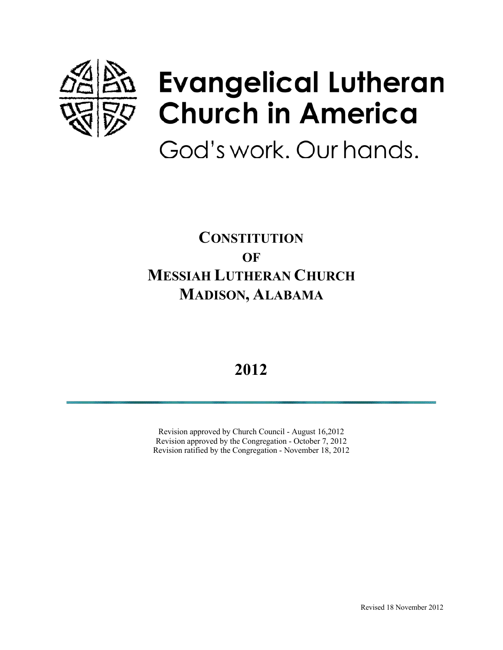

# **Evangelical Lutheran Church in America**

God's work. Our hands.

# **CONSTITUTION OF MESSIAH LUTHERAN CHURCH MADISON, ALABAMA**

# **2012**

Revision approved by Church Council - August 16,2012 Revision approved by the Congregation - October 7, 2012 Revision ratified by the Congregation - November 18, 2012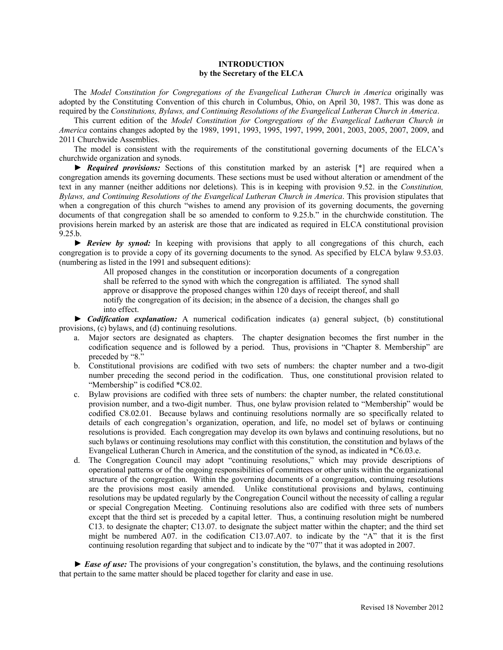#### **INTRODUCTION by the Secretary of the ELCA**

The *Model Constitution for Congregations of the Evangelical Lutheran Church in America* originally was adopted by the Constituting Convention of this church in Columbus, Ohio, on April 30, 1987. This was done as required by the *Constitutions, Bylaws, and Continuing Resolutions of the Evangelical Lutheran Church in America*.

This current edition of the *Model Constitution for Congregations of the Evangelical Lutheran Church in America* contains changes adopted by the 1989, 1991, 1993, 1995, 1997, 1999, 2001, 2003, 2005, 2007, 2009, and 2011 Churchwide Assemblies.

The model is consistent with the requirements of the constitutional governing documents of the ELCA's churchwide organization and synods.

► *Required provisions:* Sections of this constitution marked by an asterisk [\*] are required when a congregation amends its governing documents. These sections must be used without alteration or amendment of the text in any manner (neither additions nor deletions). This is in keeping with provision 9.52. in the *Constitution, Bylaws, and Continuing Resolutions of the Evangelical Lutheran Church in America*. This provision stipulates that when a congregation of this church "wishes to amend any provision of its governing documents, the governing documents of that congregation shall be so amended to conform to 9.25.b." in the churchwide constitution. The provisions herein marked by an asterisk are those that are indicated as required in ELCA constitutional provision 9.25.b.

► *Review by synod:* In keeping with provisions that apply to all congregations of this church, each congregation is to provide a copy of its governing documents to the synod. As specified by ELCA bylaw 9.53.03. (numbering as listed in the 1991 and subsequent editions):

> All proposed changes in the constitution or incorporation documents of a congregation shall be referred to the synod with which the congregation is affiliated. The synod shall approve or disapprove the proposed changes within 120 days of receipt thereof, and shall notify the congregation of its decision; in the absence of a decision, the changes shall go into effect.

► *Codification explanation:* A numerical codification indicates (a) general subject, (b) constitutional provisions, (c) bylaws, and (d) continuing resolutions.

- a. Major sectors are designated as chapters. The chapter designation becomes the first number in the codification sequence and is followed by a period. Thus, provisions in "Chapter 8. Membership" are preceded by "8."
- b. Constitutional provisions are codified with two sets of numbers: the chapter number and a two-digit number preceding the second period in the codification. Thus, one constitutional provision related to "Membership" is codified \*C8.02.
- c. Bylaw provisions are codified with three sets of numbers: the chapter number, the related constitutional provision number, and a two-digit number. Thus, one bylaw provision related to "Membership" would be codified C8.02.01. Because bylaws and continuing resolutions normally are so specifically related to details of each congregation's organization, operation, and life, no model set of bylaws or continuing resolutions is provided. Each congregation may develop its own bylaws and continuing resolutions, but no such bylaws or continuing resolutions may conflict with this constitution, the constitution and bylaws of the Evangelical Lutheran Church in America, and the constitution of the synod, as indicated in \*C6.03.e.
- d. The Congregation Council may adopt "continuing resolutions," which may provide descriptions of operational patterns or of the ongoing responsibilities of committees or other units within the organizational structure of the congregation. Within the governing documents of a congregation, continuing resolutions are the provisions most easily amended. Unlike constitutional provisions and bylaws, continuing resolutions may be updated regularly by the Congregation Council without the necessity of calling a regular or special Congregation Meeting. Continuing resolutions also are codified with three sets of numbers except that the third set is preceded by a capital letter. Thus, a continuing resolution might be numbered C13. to designate the chapter; C13.07. to designate the subject matter within the chapter; and the third set might be numbered A07. in the codification C13.07.A07. to indicate by the "A" that it is the first continuing resolution regarding that subject and to indicate by the "07" that it was adopted in 2007.

► *Ease of use:* The provisions of your congregation's constitution, the bylaws, and the continuing resolutions that pertain to the same matter should be placed together for clarity and ease in use.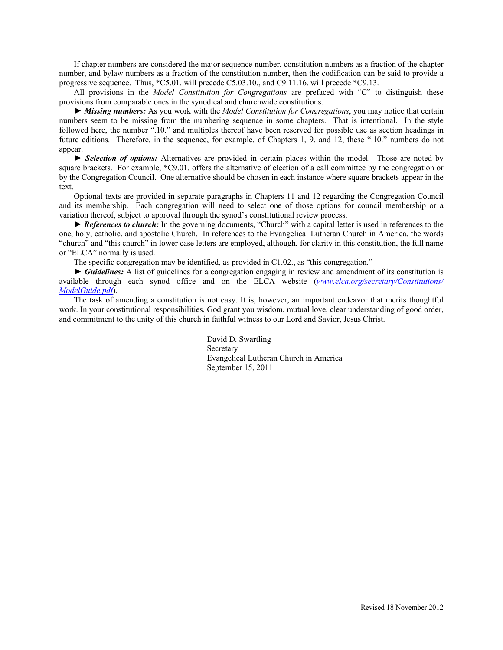If chapter numbers are considered the major sequence number, constitution numbers as a fraction of the chapter number, and bylaw numbers as a fraction of the constitution number, then the codification can be said to provide a progressive sequence. Thus, \*C5.01. will precede C5.03.10., and C9.11.16. will precede \*C9.13.

All provisions in the *Model Constitution for Congregations* are prefaced with "C" to distinguish these provisions from comparable ones in the synodical and churchwide constitutions.

► *Missing numbers:* As you work with the *Model Constitution for Congregations*, you may notice that certain numbers seem to be missing from the numbering sequence in some chapters. That is intentional. In the style followed here, the number ".10." and multiples thereof have been reserved for possible use as section headings in future editions. Therefore, in the sequence, for example, of Chapters 1, 9, and 12, these ".10." numbers do not appear.

► *Selection of options:* Alternatives are provided in certain places within the model. Those are noted by square brackets. For example, \*C9.01. offers the alternative of election of a call committee by the congregation or by the Congregation Council. One alternative should be chosen in each instance where square brackets appear in the text.

Optional texts are provided in separate paragraphs in Chapters 11 and 12 regarding the Congregation Council and its membership. Each congregation will need to select one of those options for council membership or a variation thereof, subject to approval through the synod's constitutional review process.

► *References to church:* In the governing documents, "Church" with a capital letter is used in references to the one, holy, catholic, and apostolic Church. In references to the Evangelical Lutheran Church in America, the words "church" and "this church" in lower case letters are employed, although, for clarity in this constitution, the full name or "ELCA" normally is used.

The specific congregation may be identified, as provided in C1.02., as "this congregation."

► *Guidelines:* A list of guidelines for a congregation engaging in review and amendment of its constitution is available through each synod office and on the ELCA website (*www.elca.org/secretary/Constitutions/ ModelGuide.pdf*).

The task of amending a constitution is not easy. It is, however, an important endeavor that merits thoughtful work. In your constitutional responsibilities, God grant you wisdom, mutual love, clear understanding of good order, and commitment to the unity of this church in faithful witness to our Lord and Savior, Jesus Christ.

> David D. Swartling Secretary Evangelical Lutheran Church in America September 15, 2011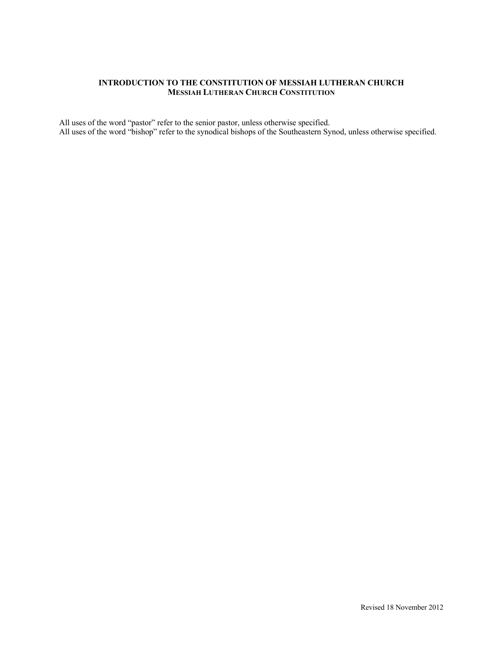#### **INTRODUCTION TO THE CONSTITUTION OF MESSIAH LUTHERAN CHURCH MESSIAH LUTHERAN CHURCH CONSTITUTION**

All uses of the word "pastor" refer to the senior pastor, unless otherwise specified. All uses of the word "bishop" refer to the synodical bishops of the Southeastern Synod, unless otherwise specified.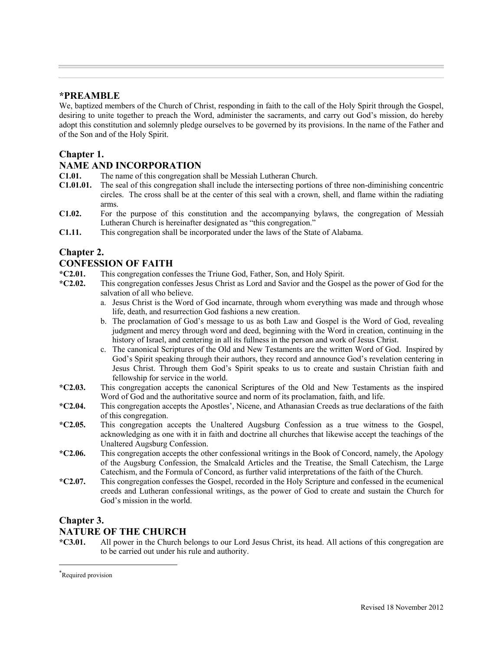#### **\*PREAMBLE**

We, baptized members of the Church of Christ, responding in faith to the call of the Holy Spirit through the Gospel, desiring to unite together to preach the Word, administer the sacraments, and carry out God's mission, do hereby adopt this constitution and solemnly pledge ourselves to be governed by its provisions. In the name of the Father and of the Son and of the Holy Spirit.

#### **Chapter 1.**

#### **NAME AND INCORPORATION**

- **C1.01.** The name of this congregation shall be Messiah Lutheran Church.<br>**C1.01.01.** The seal of this congregation shall include the intersecting portion
- **C1.01.01.** The seal of this congregation shall include the intersecting portions of three non-diminishing concentric circles. The cross shall be at the center of this seal with a crown, shell, and flame within the radiating arms.
- **C1.02.** For the purpose of this constitution and the accompanying bylaws, the congregation of Messiah Lutheran Church is hereinafter designated as "this congregation."
- **C1.11.** This congregation shall be incorporated under the laws of the State of Alabama.

# **Chapter 2.**

## **CONFESSION OF FAITH**\*

- **\*C2.01.** This congregation confesses the Triune God, Father, Son, and Holy Spirit.
- **\*C2.02.** This congregation confesses Jesus Christ as Lord and Savior and the Gospel as the power of God for the salvation of all who believe.
	- a. Jesus Christ is the Word of God incarnate, through whom everything was made and through whose life, death, and resurrection God fashions a new creation.
	- b. The proclamation of God's message to us as both Law and Gospel is the Word of God, revealing judgment and mercy through word and deed, beginning with the Word in creation, continuing in the history of Israel, and centering in all its fullness in the person and work of Jesus Christ.
	- c. The canonical Scriptures of the Old and New Testaments are the written Word of God. Inspired by God's Spirit speaking through their authors, they record and announce God's revelation centering in Jesus Christ. Through them God's Spirit speaks to us to create and sustain Christian faith and fellowship for service in the world.
- **\*C2.03.** This congregation accepts the canonical Scriptures of the Old and New Testaments as the inspired Word of God and the authoritative source and norm of its proclamation, faith, and life.
- **\*C2.04.** This congregation accepts the Apostles', Nicene, and Athanasian Creeds as true declarations of the faith of this congregation.
- **\*C2.05.** This congregation accepts the Unaltered Augsburg Confession as a true witness to the Gospel, acknowledging as one with it in faith and doctrine all churches that likewise accept the teachings of the Unaltered Augsburg Confession.
- **\*C2.06.** This congregation accepts the other confessional writings in the Book of Concord, namely, the Apology of the Augsburg Confession, the Smalcald Articles and the Treatise, the Small Catechism, the Large Catechism, and the Formula of Concord, as further valid interpretations of the faith of the Church.
- **\*C2.07.** This congregation confesses the Gospel, recorded in the Holy Scripture and confessed in the ecumenical creeds and Lutheran confessional writings, as the power of God to create and sustain the Church for God's mission in the world.

# **Chapter 3.**

#### **NATURE OF THE CHURCH**

**\*C3.01.** All power in the Church belongs to our Lord Jesus Christ, its head. All actions of this congregation are to be carried out under his rule and authority.

<sup>\*</sup> Required provision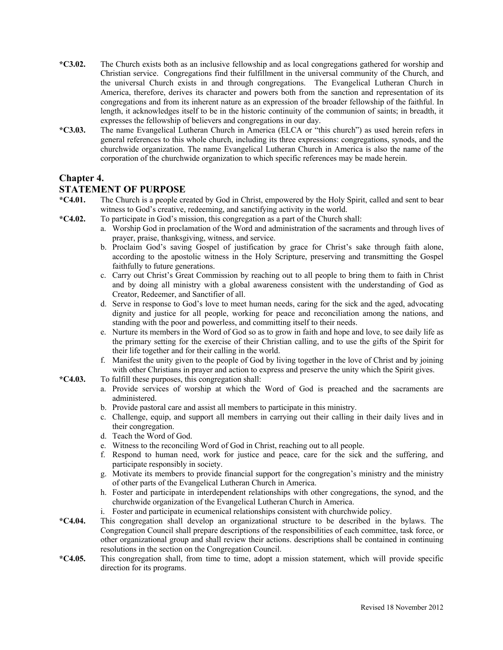- **\*C3.02.** The Church exists both as an inclusive fellowship and as local congregations gathered for worship and Christian service. Congregations find their fulfillment in the universal community of the Church, and the universal Church exists in and through congregations. The Evangelical Lutheran Church in America, therefore, derives its character and powers both from the sanction and representation of its congregations and from its inherent nature as an expression of the broader fellowship of the faithful. In length, it acknowledges itself to be in the historic continuity of the communion of saints; in breadth, it expresses the fellowship of believers and congregations in our day.
- **\*C3.03.** The name Evangelical Lutheran Church in America (ELCA or "this church") as used herein refers in general references to this whole church, including its three expressions: congregations, synods, and the churchwide organization. The name Evangelical Lutheran Church in America is also the name of the corporation of the churchwide organization to which specific references may be made herein.

## **Chapter 4.**

#### **STATEMENT OF PURPOSE**

- **\*C4.01.** The Church is a people created by God in Christ, empowered by the Holy Spirit, called and sent to bear witness to God's creative, redeeming, and sanctifying activity in the world.
- **\*C4.02.** To participate in God's mission, this congregation as a part of the Church shall:
	- a. Worship God in proclamation of the Word and administration of the sacraments and through lives of prayer, praise, thanksgiving, witness, and service.
	- b. Proclaim God's saving Gospel of justification by grace for Christ's sake through faith alone, according to the apostolic witness in the Holy Scripture, preserving and transmitting the Gospel faithfully to future generations.
	- c. Carry out Christ's Great Commission by reaching out to all people to bring them to faith in Christ and by doing all ministry with a global awareness consistent with the understanding of God as Creator, Redeemer, and Sanctifier of all.
	- d. Serve in response to God's love to meet human needs, caring for the sick and the aged, advocating dignity and justice for all people, working for peace and reconciliation among the nations, and standing with the poor and powerless, and committing itself to their needs.
	- e. Nurture its members in the Word of God so as to grow in faith and hope and love, to see daily life as the primary setting for the exercise of their Christian calling, and to use the gifts of the Spirit for their life together and for their calling in the world.
	- f. Manifest the unity given to the people of God by living together in the love of Christ and by joining with other Christians in prayer and action to express and preserve the unity which the Spirit gives.
- **\*C4.03.** To fulfill these purposes, this congregation shall:
	- a. Provide services of worship at which the Word of God is preached and the sacraments are administered.
	- b. Provide pastoral care and assist all members to participate in this ministry.
	- c. Challenge, equip, and support all members in carrying out their calling in their daily lives and in their congregation.
	- d. Teach the Word of God.
	- e. Witness to the reconciling Word of God in Christ, reaching out to all people.
	- f. Respond to human need, work for justice and peace, care for the sick and the suffering, and participate responsibly in society.
	- g. Motivate its members to provide financial support for the congregation's ministry and the ministry of other parts of the Evangelical Lutheran Church in America.
	- h. Foster and participate in interdependent relationships with other congregations, the synod, and the churchwide organization of the Evangelical Lutheran Church in America.
	- i. Foster and participate in ecumenical relationships consistent with churchwide policy.
- **\*C4.04.** This congregation shall develop an organizational structure to be described in the bylaws. The Congregation Council shall prepare descriptions of the responsibilities of each committee, task force, or other organizational group and shall review their actions. descriptions shall be contained in continuing resolutions in the section on the Congregation Council.
- **\*C4.05.** This congregation shall, from time to time, adopt a mission statement, which will provide specific direction for its programs.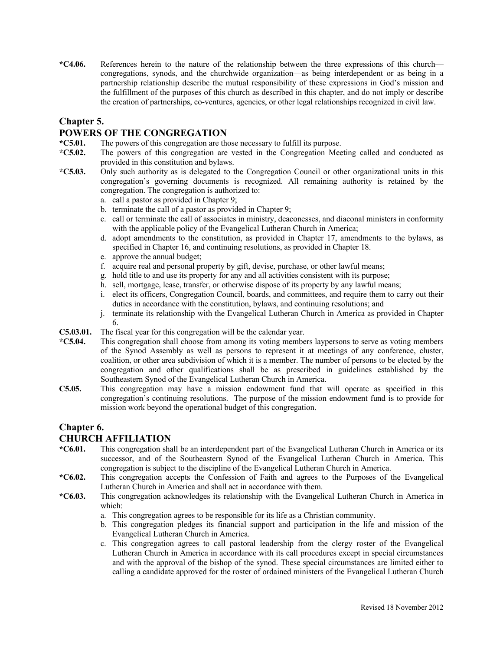**\*C4.06.** References herein to the nature of the relationship between the three expressions of this church congregations, synods, and the churchwide organization—as being interdependent or as being in a partnership relationship describe the mutual responsibility of these expressions in God's mission and the fulfillment of the purposes of this church as described in this chapter, and do not imply or describe the creation of partnerships, co-ventures, agencies, or other legal relationships recognized in civil law.

# **Chapter 5.**

#### **POWERS OF THE CONGREGATION**

- **\*C5.01.** The powers of this congregation are those necessary to fulfill its purpose.
- **\*C5.02.** The powers of this congregation are vested in the Congregation Meeting called and conducted as provided in this constitution and bylaws.
- **\*C5.03.** Only such authority as is delegated to the Congregation Council or other organizational units in this congregation's governing documents is recognized. All remaining authority is retained by the congregation. The congregation is authorized to:
	- a. call a pastor as provided in Chapter 9;
	- b. terminate the call of a pastor as provided in Chapter 9;
	- c. call or terminate the call of associates in ministry, deaconesses, and diaconal ministers in conformity with the applicable policy of the Evangelical Lutheran Church in America;
	- d. adopt amendments to the constitution, as provided in Chapter 17, amendments to the bylaws, as specified in Chapter 16, and continuing resolutions, as provided in Chapter 18.
	- e. approve the annual budget;
	- f. acquire real and personal property by gift, devise, purchase, or other lawful means;
	- g. hold title to and use its property for any and all activities consistent with its purpose;
	- h. sell, mortgage, lease, transfer, or otherwise dispose of its property by any lawful means;
	- i. elect its officers, Congregation Council, boards, and committees, and require them to carry out their duties in accordance with the constitution, bylaws, and continuing resolutions; and
	- j. terminate its relationship with the Evangelical Lutheran Church in America as provided in Chapter 6.
- **C5.03.01.** The fiscal year for this congregation will be the calendar year.
- **\*C5.04.** This congregation shall choose from among its voting members laypersons to serve as voting members of the Synod Assembly as well as persons to represent it at meetings of any conference, cluster, coalition, or other area subdivision of which it is a member. The number of persons to be elected by the congregation and other qualifications shall be as prescribed in guidelines established by the Southeastern Synod of the Evangelical Lutheran Church in America.
- **C5.05.** This congregation may have a mission endowment fund that will operate as specified in this congregation's continuing resolutions. The purpose of the mission endowment fund is to provide for mission work beyond the operational budget of this congregation.

# **Chapter 6.**

# **CHURCH AFFILIATION**

- **\*C6.01.** This congregation shall be an interdependent part of the Evangelical Lutheran Church in America or its successor, and of the Southeastern Synod of the Evangelical Lutheran Church in America. This congregation is subject to the discipline of the Evangelical Lutheran Church in America.
- **\*C6.02.** This congregation accepts the Confession of Faith and agrees to the Purposes of the Evangelical Lutheran Church in America and shall act in accordance with them.
- **\*C6.03.** This congregation acknowledges its relationship with the Evangelical Lutheran Church in America in which:
	- a. This congregation agrees to be responsible for its life as a Christian community.
	- b. This congregation pledges its financial support and participation in the life and mission of the Evangelical Lutheran Church in America.
	- c. This congregation agrees to call pastoral leadership from the clergy roster of the Evangelical Lutheran Church in America in accordance with its call procedures except in special circumstances and with the approval of the bishop of the synod. These special circumstances are limited either to calling a candidate approved for the roster of ordained ministers of the Evangelical Lutheran Church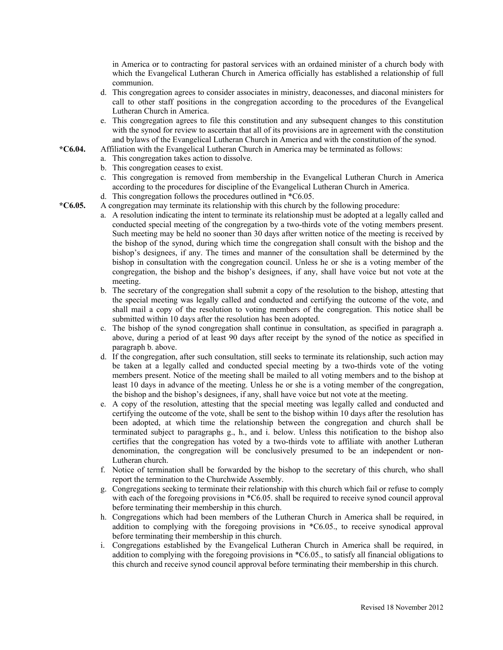in America or to contracting for pastoral services with an ordained minister of a church body with which the Evangelical Lutheran Church in America officially has established a relationship of full communion.

- d. This congregation agrees to consider associates in ministry, deaconesses, and diaconal ministers for call to other staff positions in the congregation according to the procedures of the Evangelical Lutheran Church in America.
- e. This congregation agrees to file this constitution and any subsequent changes to this constitution with the synod for review to ascertain that all of its provisions are in agreement with the constitution and bylaws of the Evangelical Lutheran Church in America and with the constitution of the synod.
- **\*C6.04.** Affiliation with the Evangelical Lutheran Church in America may be terminated as follows:
	- a. This congregation takes action to dissolve.
	- b. This congregation ceases to exist.
	- c. This congregation is removed from membership in the Evangelical Lutheran Church in America according to the procedures for discipline of the Evangelical Lutheran Church in America.
	- d. This congregation follows the procedures outlined in \*C6.05.

- **\*C6.05.** A congregation may terminate its relationship with this church by the following procedure:
	- a. A resolution indicating the intent to terminate its relationship must be adopted at a legally called and conducted special meeting of the congregation by a two-thirds vote of the voting members present. Such meeting may be held no sooner than 30 days after written notice of the meeting is received by the bishop of the synod, during which time the congregation shall consult with the bishop and the bishop's designees, if any. The times and manner of the consultation shall be determined by the bishop in consultation with the congregation council. Unless he or she is a voting member of the congregation, the bishop and the bishop's designees, if any, shall have voice but not vote at the meeting.
	- b. The secretary of the congregation shall submit a copy of the resolution to the bishop, attesting that the special meeting was legally called and conducted and certifying the outcome of the vote, and shall mail a copy of the resolution to voting members of the congregation. This notice shall be submitted within 10 days after the resolution has been adopted.
	- c. The bishop of the synod congregation shall continue in consultation, as specified in paragraph a. above, during a period of at least 90 days after receipt by the synod of the notice as specified in paragraph b. above.
	- d. If the congregation, after such consultation, still seeks to terminate its relationship, such action may be taken at a legally called and conducted special meeting by a two-thirds vote of the voting members present. Notice of the meeting shall be mailed to all voting members and to the bishop at least 10 days in advance of the meeting. Unless he or she is a voting member of the congregation, the bishop and the bishop's designees, if any, shall have voice but not vote at the meeting.
	- e. A copy of the resolution, attesting that the special meeting was legally called and conducted and certifying the outcome of the vote, shall be sent to the bishop within 10 days after the resolution has been adopted, at which time the relationship between the congregation and church shall be terminated subject to paragraphs g., h., and i. below. Unless this notification to the bishop also certifies that the congregation has voted by a two-thirds vote to affiliate with another Lutheran denomination, the congregation will be conclusively presumed to be an independent or non-Lutheran church.
	- f. Notice of termination shall be forwarded by the bishop to the secretary of this church, who shall report the termination to the Churchwide Assembly.
	- g. Congregations seeking to terminate their relationship with this church which fail or refuse to comply with each of the foregoing provisions in \*C6.05. shall be required to receive synod council approval before terminating their membership in this church.
	- h. Congregations which had been members of the Lutheran Church in America shall be required, in addition to complying with the foregoing provisions in \*C6.05., to receive synodical approval before terminating their membership in this church.
	- i. Congregations established by the Evangelical Lutheran Church in America shall be required, in addition to complying with the foregoing provisions in \*C6.05., to satisfy all financial obligations to this church and receive synod council approval before terminating their membership in this church.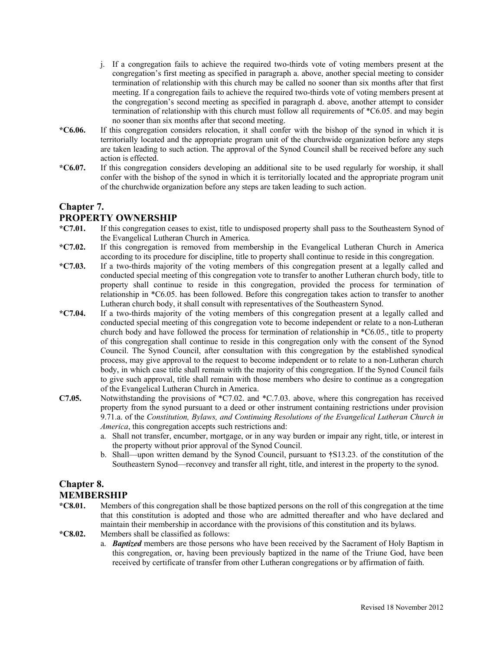- j. If a congregation fails to achieve the required two-thirds vote of voting members present at the congregation's first meeting as specified in paragraph a. above, another special meeting to consider termination of relationship with this church may be called no sooner than six months after that first meeting. If a congregation fails to achieve the required two-thirds vote of voting members present at the congregation's second meeting as specified in paragraph d. above, another attempt to consider termination of relationship with this church must follow all requirements of \*C6.05. and may begin no sooner than six months after that second meeting.
- **\*C6.06.** If this congregation considers relocation, it shall confer with the bishop of the synod in which it is territorially located and the appropriate program unit of the churchwide organization before any steps are taken leading to such action. The approval of the Synod Council shall be received before any such action is effected.
- **\*C6.07.** If this congregation considers developing an additional site to be used regularly for worship, it shall confer with the bishop of the synod in which it is territorially located and the appropriate program unit of the churchwide organization before any steps are taken leading to such action.

## **Chapter 7.**

## **PROPERTY OWNERSHIP**

- **\*C7.01.** If this congregation ceases to exist, title to undisposed property shall pass to the Southeastern Synod of the Evangelical Lutheran Church in America.
- **\*C7.02.** If this congregation is removed from membership in the Evangelical Lutheran Church in America according to its procedure for discipline, title to property shall continue to reside in this congregation.
- **\*C7.03.** If a two-thirds majority of the voting members of this congregation present at a legally called and conducted special meeting of this congregation vote to transfer to another Lutheran church body, title to property shall continue to reside in this congregation, provided the process for termination of relationship in \*C6.05. has been followed. Before this congregation takes action to transfer to another Lutheran church body, it shall consult with representatives of the Southeastern Synod.
- **\*C7.04.** If a two-thirds majority of the voting members of this congregation present at a legally called and conducted special meeting of this congregation vote to become independent or relate to a non-Lutheran church body and have followed the process for termination of relationship in \*C6.05., title to property of this congregation shall continue to reside in this congregation only with the consent of the Synod Council. The Synod Council, after consultation with this congregation by the established synodical process, may give approval to the request to become independent or to relate to a non-Lutheran church body, in which case title shall remain with the majority of this congregation. If the Synod Council fails to give such approval, title shall remain with those members who desire to continue as a congregation of the Evangelical Lutheran Church in America.
- **C7.05.** Notwithstanding the provisions of \*C7.02. and \*C.7.03. above, where this congregation has received property from the synod pursuant to a deed or other instrument containing restrictions under provision 9.71.a. of the *Constitution, Bylaws, and Continuing Resolutions of the Evangelical Lutheran Church in America*, this congregation accepts such restrictions and:
	- a. Shall not transfer, encumber, mortgage, or in any way burden or impair any right, title, or interest in the property without prior approval of the Synod Council.
	- b. Shall—upon written demand by the Synod Council, pursuant to **†**S13.23. of the constitution of the Southeastern Synod—reconvey and transfer all right, title, and interest in the property to the synod.

# **Chapter 8.**

# **MEMBERSHIP**

- **\*C8.01.** Members of this congregation shall be those baptized persons on the roll of this congregation at the time that this constitution is adopted and those who are admitted thereafter and who have declared and maintain their membership in accordance with the provisions of this constitution and its bylaws.
- **\*C8.02.** Members shall be classified as follows:
	- a. *Baptized* members are those persons who have been received by the Sacrament of Holy Baptism in this congregation, or, having been previously baptized in the name of the Triune God, have been received by certificate of transfer from other Lutheran congregations or by affirmation of faith.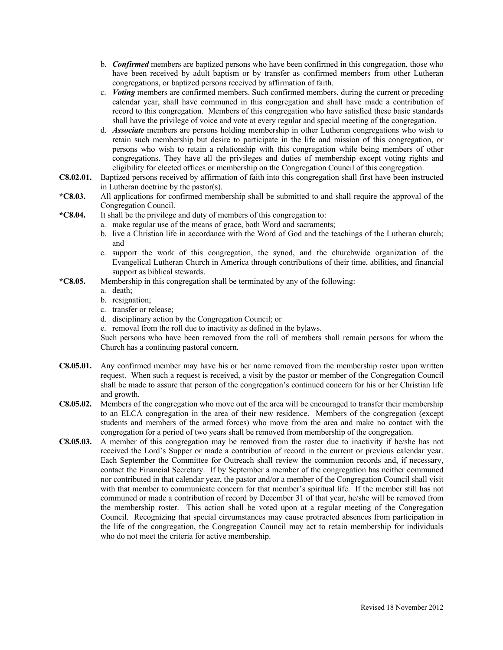- b. *Confirmed* members are baptized persons who have been confirmed in this congregation, those who have been received by adult baptism or by transfer as confirmed members from other Lutheran congregations, or baptized persons received by affirmation of faith.
- c. *Voting* members are confirmed members. Such confirmed members, during the current or preceding calendar year, shall have communed in this congregation and shall have made a contribution of record to this congregation. Members of this congregation who have satisfied these basic standards shall have the privilege of voice and vote at every regular and special meeting of the congregation.
- d. *Associate* members are persons holding membership in other Lutheran congregations who wish to retain such membership but desire to participate in the life and mission of this congregation, or persons who wish to retain a relationship with this congregation while being members of other congregations. They have all the privileges and duties of membership except voting rights and eligibility for elected offices or membership on the Congregation Council of this congregation.
- **C8.02.01.** Baptized persons received by affirmation of faith into this congregation shall first have been instructed in Lutheran doctrine by the pastor(s).
- **\*C8.03.** All applications for confirmed membership shall be submitted to and shall require the approval of the Congregation Council.
- **\*C8.04.** It shall be the privilege and duty of members of this congregation to:
	- a. make regular use of the means of grace, both Word and sacraments;
		- b. live a Christian life in accordance with the Word of God and the teachings of the Lutheran church; and
		- c. support the work of this congregation, the synod, and the churchwide organization of the Evangelical Lutheran Church in America through contributions of their time, abilities, and financial support as biblical stewards.
- **\*C8.05.** Membership in this congregation shall be terminated by any of the following:
	- a. death;
	- b. resignation;
	- c. transfer or release;
	- d. disciplinary action by the Congregation Council; or
	- e. removal from the roll due to inactivity as defined in the bylaws.

Such persons who have been removed from the roll of members shall remain persons for whom the Church has a continuing pastoral concern.

- **C8.05.01.** Any confirmed member may have his or her name removed from the membership roster upon written request. When such a request is received, a visit by the pastor or member of the Congregation Council shall be made to assure that person of the congregation's continued concern for his or her Christian life and growth.
- **C8.05.02.** Members of the congregation who move out of the area will be encouraged to transfer their membership to an ELCA congregation in the area of their new residence. Members of the congregation (except students and members of the armed forces) who move from the area and make no contact with the congregation for a period of two years shall be removed from membership of the congregation.
- **C8.05.03.** A member of this congregation may be removed from the roster due to inactivity if he/she has not received the Lord's Supper or made a contribution of record in the current or previous calendar year. Each September the Committee for Outreach shall review the communion records and, if necessary, contact the Financial Secretary. If by September a member of the congregation has neither communed nor contributed in that calendar year, the pastor and/or a member of the Congregation Council shall visit with that member to communicate concern for that member's spiritual life. If the member still has not communed or made a contribution of record by December 31 of that year, he/she will be removed from the membership roster. This action shall be voted upon at a regular meeting of the Congregation Council. Recognizing that special circumstances may cause protracted absences from participation in the life of the congregation, the Congregation Council may act to retain membership for individuals who do not meet the criteria for active membership.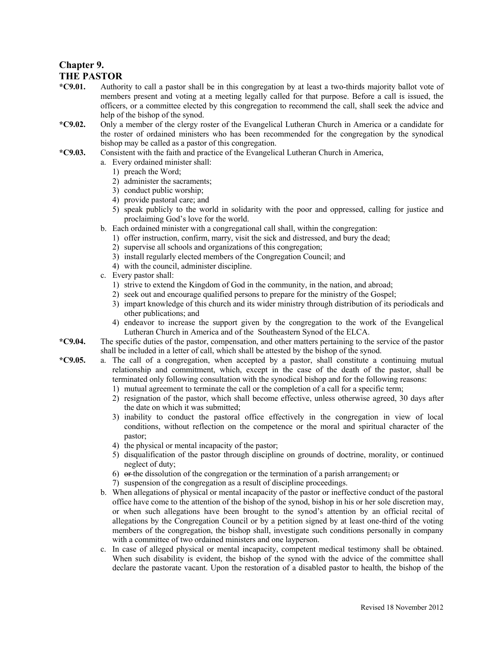# **Chapter 9. THE PASTOR**

- **\*C9.01.** Authority to call a pastor shall be in this congregation by at least a two-thirds majority ballot vote of members present and voting at a meeting legally called for that purpose. Before a call is issued, the officers, or a committee elected by this congregation to recommend the call, shall seek the advice and help of the bishop of the synod.
- **\*C9.02.** Only a member of the clergy roster of the Evangelical Lutheran Church in America or a candidate for the roster of ordained ministers who has been recommended for the congregation by the synodical bishop may be called as a pastor of this congregation.
- **\*C9.03.** Consistent with the faith and practice of the Evangelical Lutheran Church in America,
	- a. Every ordained minister shall:
		- 1) preach the Word;
		- 2) administer the sacraments;
		- 3) conduct public worship;
		- 4) provide pastoral care; and
		- 5) speak publicly to the world in solidarity with the poor and oppressed, calling for justice and proclaiming God's love for the world.
	- b. Each ordained minister with a congregational call shall, within the congregation:
		- 1) offer instruction, confirm, marry, visit the sick and distressed, and bury the dead;
		- 2) supervise all schools and organizations of this congregation;
		- 3) install regularly elected members of the Congregation Council; and
		- 4) with the council, administer discipline.
	- c. Every pastor shall:
		- 1) strive to extend the Kingdom of God in the community, in the nation, and abroad;
		- 2) seek out and encourage qualified persons to prepare for the ministry of the Gospel;
		- 3) impart knowledge of this church and its wider ministry through distribution of its periodicals and other publications; and
		- 4) endeavor to increase the support given by the congregation to the work of the Evangelical Lutheran Church in America and of the Southeastern Synod of the ELCA.
- **\*C9.04.** The specific duties of the pastor, compensation, and other matters pertaining to the service of the pastor shall be included in a letter of call, which shall be attested by the bishop of the synod.
- **\*C9.05.** a. The call of a congregation, when accepted by a pastor, shall constitute a continuing mutual relationship and commitment, which, except in the case of the death of the pastor, shall be terminated only following consultation with the synodical bishop and for the following reasons:
	- 1) mutual agreement to terminate the call or the completion of a call for a specific term;
	- 2) resignation of the pastor, which shall become effective, unless otherwise agreed, 30 days after the date on which it was submitted;
	- 3) inability to conduct the pastoral office effectively in the congregation in view of local conditions, without reflection on the competence or the moral and spiritual character of the pastor;
	- 4) the physical or mental incapacity of the pastor;
	- 5) disqualification of the pastor through discipline on grounds of doctrine, morality, or continued neglect of duty;
	- 6) or the dissolution of the congregation or the termination of a parish arrangement; or
	- 7) suspension of the congregation as a result of discipline proceedings.
	- b. When allegations of physical or mental incapacity of the pastor or ineffective conduct of the pastoral office have come to the attention of the bishop of the synod, bishop in his or her sole discretion may, or when such allegations have been brought to the synod's attention by an official recital of allegations by the Congregation Council or by a petition signed by at least one-third of the voting members of the congregation, the bishop shall, investigate such conditions personally in company with a committee of two ordained ministers and one layperson.
	- c. In case of alleged physical or mental incapacity, competent medical testimony shall be obtained. When such disability is evident, the bishop of the synod with the advice of the committee shall declare the pastorate vacant. Upon the restoration of a disabled pastor to health, the bishop of the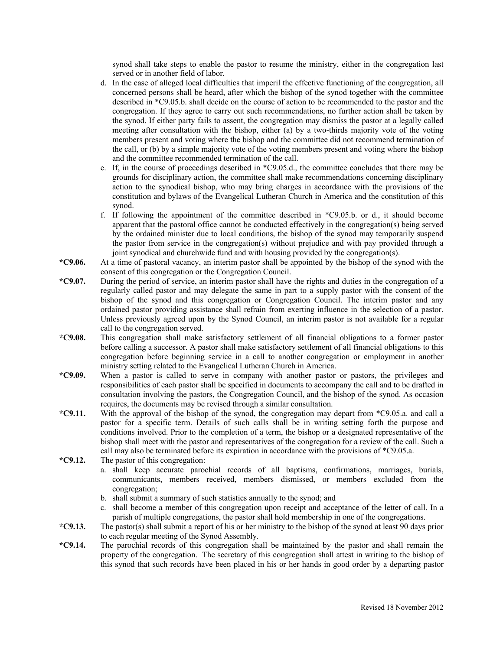synod shall take steps to enable the pastor to resume the ministry, either in the congregation last served or in another field of labor.

- d. In the case of alleged local difficulties that imperil the effective functioning of the congregation, all concerned persons shall be heard, after which the bishop of the synod together with the committee described in \*C9.05.b. shall decide on the course of action to be recommended to the pastor and the congregation. If they agree to carry out such recommendations, no further action shall be taken by the synod. If either party fails to assent, the congregation may dismiss the pastor at a legally called meeting after consultation with the bishop, either (a) by a two-thirds majority vote of the voting members present and voting where the bishop and the committee did not recommend termination of the call, or (b) by a simple majority vote of the voting members present and voting where the bishop and the committee recommended termination of the call.
- e. If, in the course of proceedings described in \*C9.05.d., the committee concludes that there may be grounds for disciplinary action, the committee shall make recommendations concerning disciplinary action to the synodical bishop, who may bring charges in accordance with the provisions of the constitution and bylaws of the Evangelical Lutheran Church in America and the constitution of this synod.
- f. If following the appointment of the committee described in \*C9.05.b. or d., it should become apparent that the pastoral office cannot be conducted effectively in the congregation(s) being served by the ordained minister due to local conditions, the bishop of the synod may temporarily suspend the pastor from service in the congregation(s) without prejudice and with pay provided through a joint synodical and churchwide fund and with housing provided by the congregation(s).
- **\*C9.06.** At a time of pastoral vacancy, an interim pastor shall be appointed by the bishop of the synod with the consent of this congregation or the Congregation Council.
- **\*C9.07.** During the period of service, an interim pastor shall have the rights and duties in the congregation of a regularly called pastor and may delegate the same in part to a supply pastor with the consent of the bishop of the synod and this congregation or Congregation Council. The interim pastor and any ordained pastor providing assistance shall refrain from exerting influence in the selection of a pastor. Unless previously agreed upon by the Synod Council, an interim pastor is not available for a regular call to the congregation served.
- **\*C9.08.** This congregation shall make satisfactory settlement of all financial obligations to a former pastor before calling a successor. A pastor shall make satisfactory settlement of all financial obligations to this congregation before beginning service in a call to another congregation or employment in another ministry setting related to the Evangelical Lutheran Church in America.
- **\*C9.09.** When a pastor is called to serve in company with another pastor or pastors, the privileges and responsibilities of each pastor shall be specified in documents to accompany the call and to be drafted in consultation involving the pastors, the Congregation Council, and the bishop of the synod. As occasion requires, the documents may be revised through a similar consultation.
- **\*C9.11.** With the approval of the bishop of the synod, the congregation may depart from \*C9.05.a. and call a pastor for a specific term. Details of such calls shall be in writing setting forth the purpose and conditions involved. Prior to the completion of a term, the bishop or a designated representative of the bishop shall meet with the pastor and representatives of the congregation for a review of the call. Such a call may also be terminated before its expiration in accordance with the provisions of \*C9.05.a.
- **\*C9.12.** The pastor of this congregation:
	- a. shall keep accurate parochial records of all baptisms, confirmations, marriages, burials, communicants, members received, members dismissed, or members excluded from the congregation;
	- b. shall submit a summary of such statistics annually to the synod; and
	- c. shall become a member of this congregation upon receipt and acceptance of the letter of call. In a parish of multiple congregations, the pastor shall hold membership in one of the congregations.
- **\*C9.13.** The pastor(s) shall submit a report of his or her ministry to the bishop of the synod at least 90 days prior to each regular meeting of the Synod Assembly.
- **\*C9.14.** The parochial records of this congregation shall be maintained by the pastor and shall remain the property of the congregation. The secretary of this congregation shall attest in writing to the bishop of this synod that such records have been placed in his or her hands in good order by a departing pastor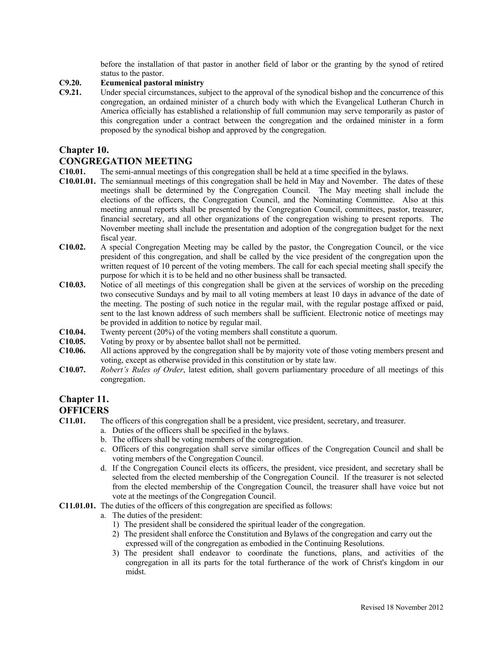before the installation of that pastor in another field of labor or the granting by the synod of retired status to the pastor.

#### **C9.20. Ecumenical pastoral ministry**

**C9.21.** Under special circumstances, subject to the approval of the synodical bishop and the concurrence of this congregation, an ordained minister of a church body with which the Evangelical Lutheran Church in America officially has established a relationship of full communion may serve temporarily as pastor of this congregation under a contract between the congregation and the ordained minister in a form proposed by the synodical bishop and approved by the congregation.

#### **Chapter 10.**

## **CONGREGATION MEETING**

- **C10.01.** The semi-annual meetings of this congregation shall be held at a time specified in the bylaws.
- **C10.01.01.** The semiannual meetings of this congregation shall be held in May and November. The dates of these meetings shall be determined by the Congregation Council. The May meeting shall include the elections of the officers, the Congregation Council, and the Nominating Committee. Also at this meeting annual reports shall be presented by the Congregation Council, committees, pastor, treasurer, financial secretary, and all other organizations of the congregation wishing to present reports. The November meeting shall include the presentation and adoption of the congregation budget for the next fiscal year.
- **C10.02.** A special Congregation Meeting may be called by the pastor, the Congregation Council, or the vice president of this congregation, and shall be called by the vice president of the congregation upon the written request of 10 percent of the voting members. The call for each special meeting shall specify the purpose for which it is to be held and no other business shall be transacted.
- **C10.03.** Notice of all meetings of this congregation shall be given at the services of worship on the preceding two consecutive Sundays and by mail to all voting members at least 10 days in advance of the date of the meeting. The posting of such notice in the regular mail, with the regular postage affixed or paid, sent to the last known address of such members shall be sufficient. Electronic notice of meetings may be provided in addition to notice by regular mail.
- **C10.04.** Twenty percent (20%) of the voting members shall constitute a quorum.
- **C10.05.** Voting by proxy or by absentee ballot shall not be permitted.
- **C10.06.** All actions approved by the congregation shall be by majority vote of those voting members present and voting, except as otherwise provided in this constitution or by state law.
- **C10.07.** *Robert's Rules of Order*, latest edition, shall govern parliamentary procedure of all meetings of this congregation.

# **Chapter 11.**

#### **OFFICERS**

- **C11.01.** The officers of this congregation shall be a president, vice president, secretary, and treasurer.
	- a. Duties of the officers shall be specified in the bylaws.
	- b. The officers shall be voting members of the congregation.
	- c. Officers of this congregation shall serve similar offices of the Congregation Council and shall be voting members of the Congregation Council.
	- d. If the Congregation Council elects its officers, the president, vice president, and secretary shall be selected from the elected membership of the Congregation Council. If the treasurer is not selected from the elected membership of the Congregation Council, the treasurer shall have voice but not vote at the meetings of the Congregation Council.
- **C11.01.01.** The duties of the officers of this congregation are specified as follows:
	- a. The duties of the president:
		- 1) The president shall be considered the spiritual leader of the congregation.
		- 2) The president shall enforce the Constitution and Bylaws of the congregation and carry out the expressed will of the congregation as embodied in the Continuing Resolutions.
		- 3) The president shall endeavor to coordinate the functions, plans, and activities of the congregation in all its parts for the total furtherance of the work of Christ's kingdom in our midst.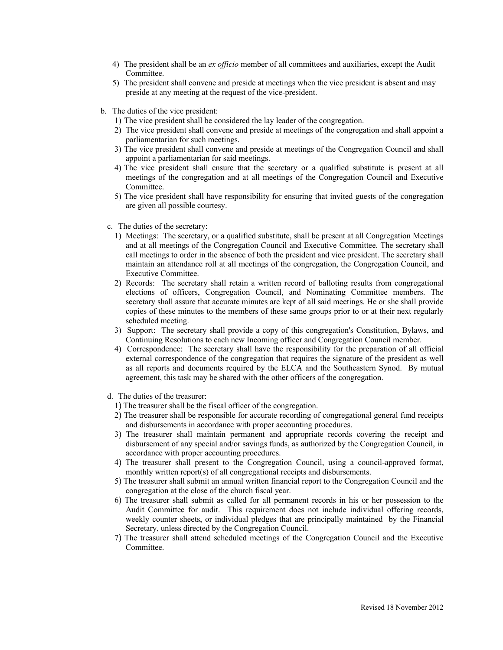- 4) The president shall be an *ex officio* member of all committees and auxiliaries, except the Audit Committee.
- 5) The president shall convene and preside at meetings when the vice president is absent and may preside at any meeting at the request of the vice-president.
- b. The duties of the vice president:
	- 1) The vice president shall be considered the lay leader of the congregation.
	- 2) The vice president shall convene and preside at meetings of the congregation and shall appoint a parliamentarian for such meetings.
	- 3) The vice president shall convene and preside at meetings of the Congregation Council and shall appoint a parliamentarian for said meetings.
	- 4) The vice president shall ensure that the secretary or a qualified substitute is present at all meetings of the congregation and at all meetings of the Congregation Council and Executive Committee.
	- 5) The vice president shall have responsibility for ensuring that invited guests of the congregation are given all possible courtesy.
	- c. The duties of the secretary:
		- 1) Meetings: The secretary, or a qualified substitute, shall be present at all Congregation Meetings and at all meetings of the Congregation Council and Executive Committee. The secretary shall call meetings to order in the absence of both the president and vice president. The secretary shall maintain an attendance roll at all meetings of the congregation, the Congregation Council, and Executive Committee.
		- 2) Records: The secretary shall retain a written record of balloting results from congregational elections of officers, Congregation Council, and Nominating Committee members. The secretary shall assure that accurate minutes are kept of all said meetings. He or she shall provide copies of these minutes to the members of these same groups prior to or at their next regularly scheduled meeting.
		- 3) Support: The secretary shall provide a copy of this congregation's Constitution, Bylaws, and Continuing Resolutions to each new Incoming officer and Congregation Council member.
		- 4) Correspondence: The secretary shall have the responsibility for the preparation of all official external correspondence of the congregation that requires the signature of the president as well as all reports and documents required by the ELCA and the Southeastern Synod. By mutual agreement, this task may be shared with the other officers of the congregation.
	- d. The duties of the treasurer:
		- 1) The treasurer shall be the fiscal officer of the congregation.
		- 2) The treasurer shall be responsible for accurate recording of congregational general fund receipts and disbursements in accordance with proper accounting procedures.
		- 3) The treasurer shall maintain permanent and appropriate records covering the receipt and disbursement of any special and/or savings funds, as authorized by the Congregation Council, in accordance with proper accounting procedures.
		- 4) The treasurer shall present to the Congregation Council, using a council-approved format, monthly written report(s) of all congregational receipts and disbursements.
		- 5) The treasurer shall submit an annual written financial report to the Congregation Council and the congregation at the close of the church fiscal year.
		- 6) The treasurer shall submit as called for all permanent records in his or her possession to the Audit Committee for audit. This requirement does not include individual offering records, weekly counter sheets, or individual pledges that are principally maintained by the Financial Secretary, unless directed by the Congregation Council.
		- 7) The treasurer shall attend scheduled meetings of the Congregation Council and the Executive Committee.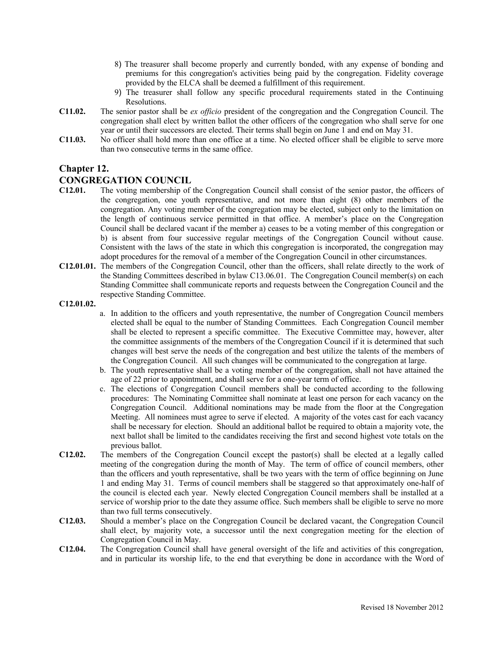- 8) The treasurer shall become properly and currently bonded, with any expense of bonding and premiums for this congregation's activities being paid by the congregation. Fidelity coverage provided by the ELCA shall be deemed a fulfillment of this requirement.
- 9) The treasurer shall follow any specific procedural requirements stated in the Continuing Resolutions.
- **C11.02.** The senior pastor shall be *ex officio* president of the congregation and the Congregation Council. The congregation shall elect by written ballot the other officers of the congregation who shall serve for one year or until their successors are elected. Their terms shall begin on June 1 and end on May 31.
- **C11.03.** No officer shall hold more than one office at a time. No elected officer shall be eligible to serve more than two consecutive terms in the same office.

#### **Chapter 12.**

#### **CONGREGATION COUNCIL**

- **C12.01.** The voting membership of the Congregation Council shall consist of the senior pastor, the officers of the congregation, one youth representative, and not more than eight (8) other members of the congregation. Any voting member of the congregation may be elected, subject only to the limitation on the length of continuous service permitted in that office. A member's place on the Congregation Council shall be declared vacant if the member a) ceases to be a voting member of this congregation or b) is absent from four successive regular meetings of the Congregation Council without cause. Consistent with the laws of the state in which this congregation is incorporated, the congregation may adopt procedures for the removal of a member of the Congregation Council in other circumstances.
- **C12.01.01.** The members of the Congregation Council, other than the officers, shall relate directly to the work of the Standing Committees described in bylaw C13.06.01. The Congregation Council member(s) on each Standing Committee shall communicate reports and requests between the Congregation Council and the respective Standing Committee.

#### **C12.01.02.**

- a. In addition to the officers and youth representative, the number of Congregation Council members elected shall be equal to the number of Standing Committees. Each Congregation Council member shall be elected to represent a specific committee. The Executive Committee may, however, alter the committee assignments of the members of the Congregation Council if it is determined that such changes will best serve the needs of the congregation and best utilize the talents of the members of the Congregation Council. All such changes will be communicated to the congregation at large.
- b. The youth representative shall be a voting member of the congregation, shall not have attained the age of 22 prior to appointment, and shall serve for a one-year term of office.
- c. The elections of Congregation Council members shall be conducted according to the following procedures: The Nominating Committee shall nominate at least one person for each vacancy on the Congregation Council. Additional nominations may be made from the floor at the Congregation Meeting. All nominees must agree to serve if elected. A majority of the votes cast for each vacancy shall be necessary for election. Should an additional ballot be required to obtain a majority vote, the next ballot shall be limited to the candidates receiving the first and second highest vote totals on the previous ballot.
- **C12.02.** The members of the Congregation Council except the pastor(s) shall be elected at a legally called meeting of the congregation during the month of May. The term of office of council members, other than the officers and youth representative, shall be two years with the term of office beginning on June 1 and ending May 31. Terms of council members shall be staggered so that approximately one-half of the council is elected each year. Newly elected Congregation Council members shall be installed at a service of worship prior to the date they assume office. Such members shall be eligible to serve no more than two full terms consecutively.
- **C12.03.** Should a member's place on the Congregation Council be declared vacant, the Congregation Council shall elect, by majority vote, a successor until the next congregation meeting for the election of Congregation Council in May.
- **C12.04.** The Congregation Council shall have general oversight of the life and activities of this congregation, and in particular its worship life, to the end that everything be done in accordance with the Word of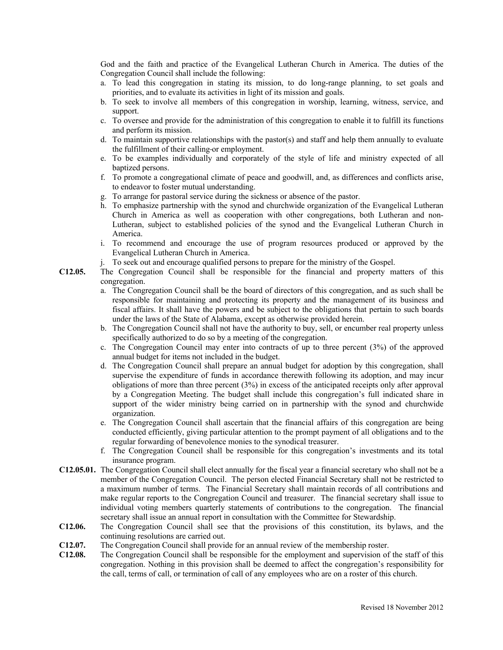God and the faith and practice of the Evangelical Lutheran Church in America. The duties of the Congregation Council shall include the following:

- a. To lead this congregation in stating its mission, to do long-range planning, to set goals and priorities, and to evaluate its activities in light of its mission and goals.
- b. To seek to involve all members of this congregation in worship, learning, witness, service, and support.
- c. To oversee and provide for the administration of this congregation to enable it to fulfill its functions and perform its mission.
- d. To maintain supportive relationships with the pastor(s) and staff and help them annually to evaluate the fulfillment of their calling-or employment.
- e. To be examples individually and corporately of the style of life and ministry expected of all baptized persons.
- f. To promote a congregational climate of peace and goodwill, and, as differences and conflicts arise, to endeavor to foster mutual understanding.
- g. To arrange for pastoral service during the sickness or absence of the pastor.
- h. To emphasize partnership with the synod and churchwide organization of the Evangelical Lutheran Church in America as well as cooperation with other congregations, both Lutheran and non-Lutheran, subject to established policies of the synod and the Evangelical Lutheran Church in America.
- i. To recommend and encourage the use of program resources produced or approved by the Evangelical Lutheran Church in America.
- j. To seek out and encourage qualified persons to prepare for the ministry of the Gospel.
- **C12.05.** The Congregation Council shall be responsible for the financial and property matters of this congregation.
	- a. The Congregation Council shall be the board of directors of this congregation, and as such shall be responsible for maintaining and protecting its property and the management of its business and fiscal affairs. It shall have the powers and be subject to the obligations that pertain to such boards under the laws of the State of Alabama, except as otherwise provided herein.
	- b. The Congregation Council shall not have the authority to buy, sell, or encumber real property unless specifically authorized to do so by a meeting of the congregation.
	- c. The Congregation Council may enter into contracts of up to three percent (3%) of the approved annual budget for items not included in the budget.
	- d. The Congregation Council shall prepare an annual budget for adoption by this congregation, shall supervise the expenditure of funds in accordance therewith following its adoption, and may incur obligations of more than three percent (3%) in excess of the anticipated receipts only after approval by a Congregation Meeting. The budget shall include this congregation's full indicated share in support of the wider ministry being carried on in partnership with the synod and churchwide organization.
	- e. The Congregation Council shall ascertain that the financial affairs of this congregation are being conducted efficiently, giving particular attention to the prompt payment of all obligations and to the regular forwarding of benevolence monies to the synodical treasurer.
	- f. The Congregation Council shall be responsible for this congregation's investments and its total insurance program.
- **C12.05.01.** The Congregation Council shall elect annually for the fiscal year a financial secretary who shall not be a member of the Congregation Council. The person elected Financial Secretary shall not be restricted to a maximum number of terms. The Financial Secretary shall maintain records of all contributions and make regular reports to the Congregation Council and treasurer. The financial secretary shall issue to individual voting members quarterly statements of contributions to the congregation. The financial secretary shall issue an annual report in consultation with the Committee for Stewardship.
- **C12.06.** The Congregation Council shall see that the provisions of this constitution, its bylaws, and the continuing resolutions are carried out.
- **C12.07.** The Congregation Council shall provide for an annual review of the membership roster.
- **C12.08.** The Congregation Council shall be responsible for the employment and supervision of the staff of this congregation. Nothing in this provision shall be deemed to affect the congregation's responsibility for the call, terms of call, or termination of call of any employees who are on a roster of this church.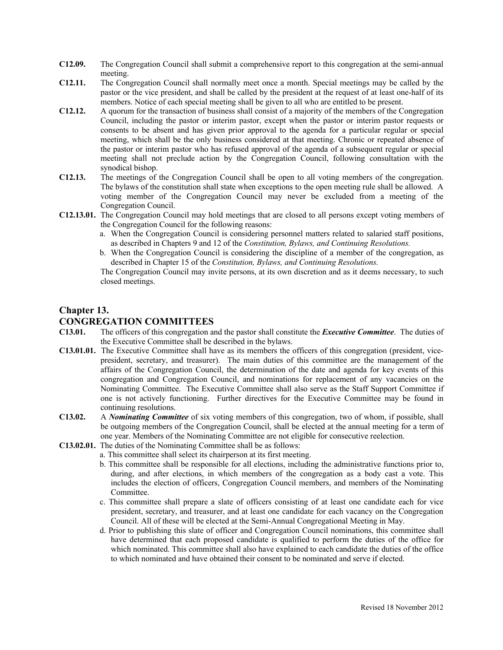- **C12.09.** The Congregation Council shall submit a comprehensive report to this congregation at the semi-annual meeting.
- **C12.11.** The Congregation Council shall normally meet once a month. Special meetings may be called by the pastor or the vice president, and shall be called by the president at the request of at least one-half of its members. Notice of each special meeting shall be given to all who are entitled to be present.
- **C12.12.** A quorum for the transaction of business shall consist of a majority of the members of the Congregation Council, including the pastor or interim pastor, except when the pastor or interim pastor requests or consents to be absent and has given prior approval to the agenda for a particular regular or special meeting, which shall be the only business considered at that meeting. Chronic or repeated absence of the pastor or interim pastor who has refused approval of the agenda of a subsequent regular or special meeting shall not preclude action by the Congregation Council, following consultation with the synodical bishop.
- **C12.13.** The meetings of the Congregation Council shall be open to all voting members of the congregation. The bylaws of the constitution shall state when exceptions to the open meeting rule shall be allowed. A voting member of the Congregation Council may never be excluded from a meeting of the Congregation Council.
- **C12.13.01.** The Congregation Council may hold meetings that are closed to all persons except voting members of the Congregation Council for the following reasons:
	- a. When the Congregation Council is considering personnel matters related to salaried staff positions, as described in Chapters 9 and 12 of the *Constitution, Bylaws, and Continuing Resolutions.*
	- b. When the Congregation Council is considering the discipline of a member of the congregation, as described in Chapter 15 of the *Constitution, Bylaws, and Continuing Resolutions.*

The Congregation Council may invite persons, at its own discretion and as it deems necessary, to such closed meetings.

# **Chapter 13.**

# **CONGREGATION COMMITTEES**

- **C13.01.** The officers of this congregation and the pastor shall constitute the *Executive Committee*. The duties of the Executive Committee shall be described in the bylaws.
- **C13.01.01.** The Executive Committee shall have as its members the officers of this congregation (president, vicepresident, secretary, and treasurer). The main duties of this committee are the management of the affairs of the Congregation Council, the determination of the date and agenda for key events of this congregation and Congregation Council, and nominations for replacement of any vacancies on the Nominating Committee. The Executive Committee shall also serve as the Staff Support Committee if one is not actively functioning. Further directives for the Executive Committee may be found in continuing resolutions.
- **C13.02.** A *Nominating Committee* of six voting members of this congregation, two of whom, if possible, shall be outgoing members of the Congregation Council, shall be elected at the annual meeting for a term of one year. Members of the Nominating Committee are not eligible for consecutive reelection.
- **C13.02.01.** The duties of the Nominating Committee shall be as follows:
	- a. This committee shall select its chairperson at its first meeting.
		- b. This committee shall be responsible for all elections, including the administrative functions prior to, during, and after elections, in which members of the congregation as a body cast a vote. This includes the election of officers, Congregation Council members, and members of the Nominating Committee.
		- c. This committee shall prepare a slate of officers consisting of at least one candidate each for vice president, secretary, and treasurer, and at least one candidate for each vacancy on the Congregation Council. All of these will be elected at the Semi-Annual Congregational Meeting in May.
		- d. Prior to publishing this slate of officer and Congregation Council nominations, this committee shall have determined that each proposed candidate is qualified to perform the duties of the office for which nominated. This committee shall also have explained to each candidate the duties of the office to which nominated and have obtained their consent to be nominated and serve if elected.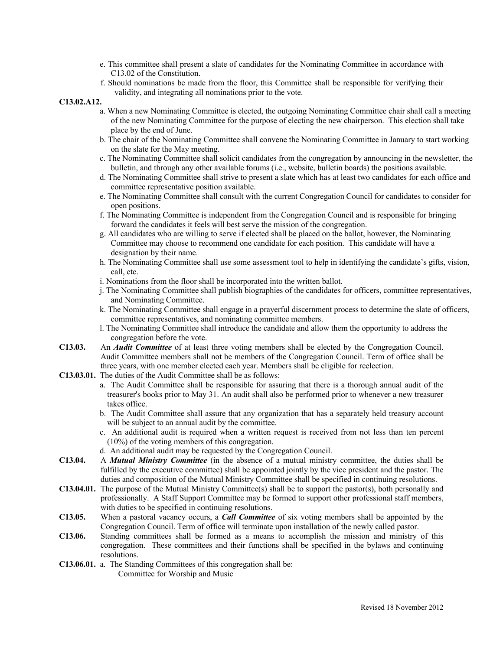- e. This committee shall present a slate of candidates for the Nominating Committee in accordance with C13.02 of the Constitution.
- f. Should nominations be made from the floor, this Committee shall be responsible for verifying their validity, and integrating all nominations prior to the vote.

#### **C13.02.A12.**

- a. When a new Nominating Committee is elected, the outgoing Nominating Committee chair shall call a meeting of the new Nominating Committee for the purpose of electing the new chairperson. This election shall take place by the end of June.
- b. The chair of the Nominating Committee shall convene the Nominating Committee in January to start working on the slate for the May meeting.
- c. The Nominating Committee shall solicit candidates from the congregation by announcing in the newsletter, the bulletin, and through any other available forums (i.e., website, bulletin boards) the positions available.
- d. The Nominating Committee shall strive to present a slate which has at least two candidates for each office and committee representative position available.
- e. The Nominating Committee shall consult with the current Congregation Council for candidates to consider for open positions.
- f. The Nominating Committee is independent from the Congregation Council and is responsible for bringing forward the candidates it feels will best serve the mission of the congregation.
- g. All candidates who are willing to serve if elected shall be placed on the ballot, however, the Nominating Committee may choose to recommend one candidate for each position. This candidate will have a designation by their name.
- h. The Nominating Committee shall use some assessment tool to help in identifying the candidate's gifts, vision, call, etc.
- i. Nominations from the floor shall be incorporated into the written ballot.
- j. The Nominating Committee shall publish biographies of the candidates for officers, committee representatives, and Nominating Committee.
- k. The Nominating Committee shall engage in a prayerful discernment process to determine the slate of officers, committee representatives, and nominating committee members.
- l. The Nominating Committee shall introduce the candidate and allow them the opportunity to address the congregation before the vote.
- **C13.03.** An *Audit Committee* of at least three voting members shall be elected by the Congregation Council. Audit Committee members shall not be members of the Congregation Council. Term of office shall be three years, with one member elected each year. Members shall be eligible for reelection.
- **C13.03.01.** The duties of the Audit Committee shall be as follows:
	- a. The Audit Committee shall be responsible for assuring that there is a thorough annual audit of the treasurer's books prior to May 31. An audit shall also be performed prior to whenever a new treasurer takes office.
	- b. The Audit Committee shall assure that any organization that has a separately held treasury account will be subject to an annual audit by the committee.
	- c. An additional audit is required when a written request is received from not less than ten percent (10%) of the voting members of this congregation.
	- d. An additional audit may be requested by the Congregation Council.
- **C13.04.** A *Mutual Ministry Committee* (in the absence of a mutual ministry committee, the duties shall be fulfilled by the executive committee) shall be appointed jointly by the vice president and the pastor. The duties and composition of the Mutual Ministry Committee shall be specified in continuing resolutions.
- **C13.04.01.** The purpose of the Mutual Ministry Committee(s) shall be to support the pastor(s), both personally and professionally. A Staff Support Committee may be formed to support other professional staff members, with duties to be specified in continuing resolutions.
- **C13.05.** When a pastoral vacancy occurs, a *Call Committee* of six voting members shall be appointed by the Congregation Council. Term of office will terminate upon installation of the newly called pastor.
- **C13.06.** Standing committees shall be formed as a means to accomplish the mission and ministry of this congregation. These committees and their functions shall be specified in the bylaws and continuing resolutions.
- **C13.06.01.** a. The Standing Committees of this congregation shall be: Committee for Worship and Music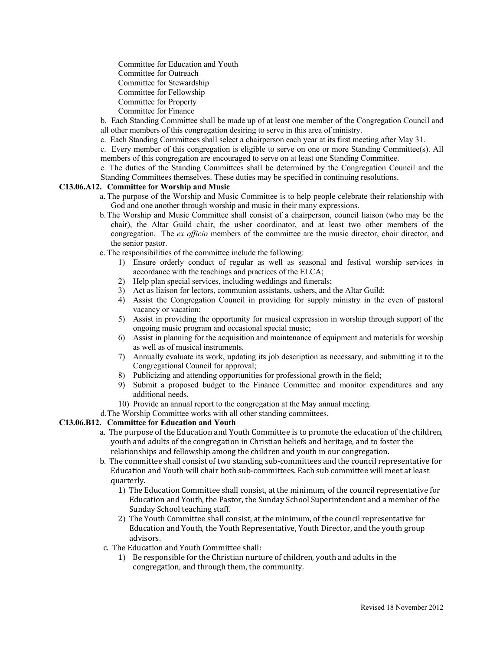Committee for Education and Youth Committee for Outreach Committee for Stewardship Committee for Fellowship Committee for Property Committee for Finance

b. Each Standing Committee shall be made up of at least one member of the Congregation Council and all other members of this congregation desiring to serve in this area of ministry.

c. Each Standing Committees shall select a chairperson each year at its first meeting after May 31.

c. Every member of this congregation is eligible to serve on one or more Standing Committee(s). All members of this congregation are encouraged to serve on at least one Standing Committee.

e. The duties of the Standing Committees shall be determined by the Congregation Council and the Standing Committees themselves. These duties may be specified in continuing resolutions.

#### **C13.06.A12. Committee for Worship and Music**

- a. The purpose of the Worship and Music Committee is to help people celebrate their relationship with God and one another through worship and music in their many expressions.
- b.The Worship and Music Committee shall consist of a chairperson, council liaison (who may be the chair), the Altar Guild chair, the usher coordinator, and at least two other members of the congregation. The *ex officio* members of the committee are the music director, choir director, and the senior pastor.

c. The responsibilities of the committee include the following:

- 1) Ensure orderly conduct of regular as well as seasonal and festival worship services in accordance with the teachings and practices of the ELCA;
- 2) Help plan special services, including weddings and funerals;
- 3) Act as liaison for lectors, communion assistants, ushers, and the Altar Guild;
- 4) Assist the Congregation Council in providing for supply ministry in the even of pastoral vacancy or vacation;
- 5) Assist in providing the opportunity for musical expression in worship through support of the ongoing music program and occasional special music;
- 6) Assist in planning for the acquisition and maintenance of equipment and materials for worship as well as of musical instruments.
- 7) Annually evaluate its work, updating its job description as necessary, and submitting it to the Congregational Council for approval;
- 8) Publicizing and attending opportunities for professional growth in the field;
- 9) Submit a proposed budget to the Finance Committee and monitor expenditures and any additional needs.
- 10) Provide an annual report to the congregation at the May annual meeting.

d.The Worship Committee works with all other standing committees.

#### **C13.06.B12. Committee for Education and Youth**

- a. The purpose of the Education and Youth Committee is to promote the education of the children, youth and adults of the congregation in Christian beliefs and heritage, and to foster the relationships and fellowship among the children and youth in our congregation.
- b. The committee shall consist of two standing sub-committees and the council representative for Education and Youth will chair both sub-committees. Each sub committee will meet at least quarterly.
	- 1) The Education Committee shall consist, at the minimum, of the council representative for Education and Youth, the Pastor, the Sunday School Superintendent and a member of the Sunday School teaching staff.
	- 2) The Youth Committee shall consist, at the minimum, of the council representative for Education and Youth, the Youth Representative, Youth Director, and the youth group advisors.
- c. The Education and Youth Committee shall:
	- 1) Be responsible for the Christian nurture of children, youth and adults in the congregation, and through them, the community.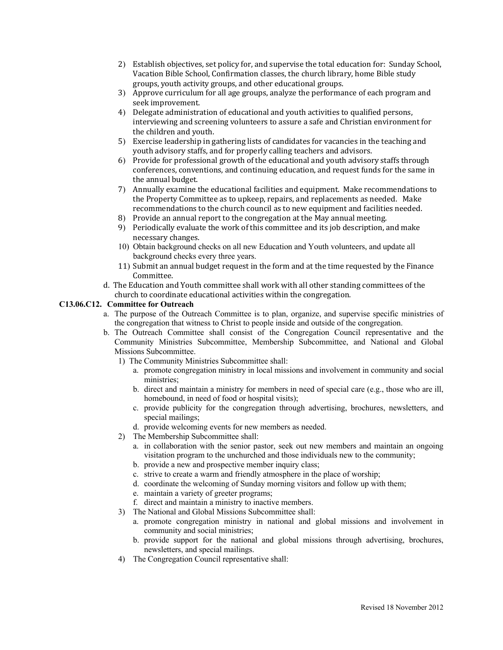- 2) Establish objectives, set policy for, and supervise the total education for: Sunday School, Vacation Bible School, Confirmation classes, the church library, home Bible study groups, youth activity groups, and other educational groups.
- 3) Approve curriculum for all age groups, analyze the performance of each program and seek improvement.
- 4) Delegate administration of educational and youth activities to qualified persons, interviewing and screening volunteers to assure a safe and Christian environment for the children and youth.
- 5) Exercise leadership in gathering lists of candidates for vacancies in the teaching and youth advisory staffs, and for properly calling teachers and advisors.
- 6) Provide for professional growth of the educational and youth advisory staffs through conferences, conventions, and continuing education, and request funds for the same in the annual budget.
- 7) Annually examine the educational facilities and equipment. Make recommendations to the Property Committee as to upkeep, repairs, and replacements as needed. Make recommendations to the church council as to new equipment and facilities needed.
- 8) Provide an annual report to the congregation at the May annual meeting.
- 9) Periodically evaluate the work of this committee and its job description, and make necessary changes.
- 10) Obtain background checks on all new Education and Youth volunteers, and update all background checks every three years.
- 11) Submit an annual budget request in the form and at the time requested by the Finance Committee.
- d. The Education and Youth committee shall work with all other standing committees of the church to coordinate educational activities within the congregation.

#### **C13.06.C12. Committee for Outreach**

- a. The purpose of the Outreach Committee is to plan, organize, and supervise specific ministries of the congregation that witness to Christ to people inside and outside of the congregation.
- b. The Outreach Committee shall consist of the Congregation Council representative and the Community Ministries Subcommittee, Membership Subcommittee, and National and Global Missions Subcommittee.
	- 1) The Community Ministries Subcommittee shall:
		- a. promote congregation ministry in local missions and involvement in community and social ministries;
		- b. direct and maintain a ministry for members in need of special care (e.g., those who are ill, homebound, in need of food or hospital visits);
		- c. provide publicity for the congregation through advertising, brochures, newsletters, and special mailings;
		- d. provide welcoming events for new members as needed.
	- 2) The Membership Subcommittee shall:
		- a. in collaboration with the senior pastor, seek out new members and maintain an ongoing visitation program to the unchurched and those individuals new to the community;
		- b. provide a new and prospective member inquiry class;
		- c. strive to create a warm and friendly atmosphere in the place of worship;
		- d. coordinate the welcoming of Sunday morning visitors and follow up with them;
		- e. maintain a variety of greeter programs;
		- f. direct and maintain a ministry to inactive members.
	- 3) The National and Global Missions Subcommittee shall:
		- a. promote congregation ministry in national and global missions and involvement in community and social ministries;
		- b. provide support for the national and global missions through advertising, brochures, newsletters, and special mailings.
	- 4) The Congregation Council representative shall: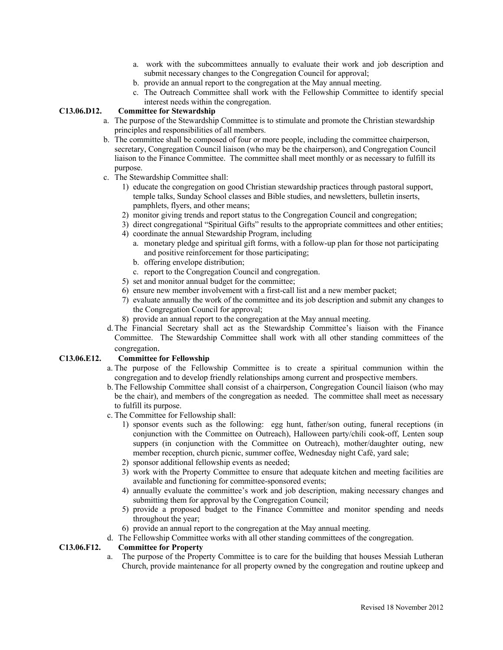- a. work with the subcommittees annually to evaluate their work and job description and submit necessary changes to the Congregation Council for approval;
- b. provide an annual report to the congregation at the May annual meeting.
- c. The Outreach Committee shall work with the Fellowship Committee to identify special interest needs within the congregation.

#### **C13.06.D12. Committee for Stewardship**

- a. The purpose of the Stewardship Committee is to stimulate and promote the Christian stewardship principles and responsibilities of all members.
- b. The committee shall be composed of four or more people, including the committee chairperson, secretary, Congregation Council liaison (who may be the chairperson), and Congregation Council liaison to the Finance Committee. The committee shall meet monthly or as necessary to fulfill its purpose.
- c. The Stewardship Committee shall:
	- 1) educate the congregation on good Christian stewardship practices through pastoral support, temple talks, Sunday School classes and Bible studies, and newsletters, bulletin inserts, pamphlets, flyers, and other means;
	- 2) monitor giving trends and report status to the Congregation Council and congregation;
	- 3) direct congregational "Spiritual Gifts" results to the appropriate committees and other entities;
	- 4) coordinate the annual Stewardship Program, including
		- a. monetary pledge and spiritual gift forms, with a follow-up plan for those not participating and positive reinforcement for those participating;
		- b. offering envelope distribution;
		- c. report to the Congregation Council and congregation.
	- 5) set and monitor annual budget for the committee;
	- 6) ensure new member involvement with a first-call list and a new member packet;
	- 7) evaluate annually the work of the committee and its job description and submit any changes to the Congregation Council for approval;
	- 8) provide an annual report to the congregation at the May annual meeting.
- d.The Financial Secretary shall act as the Stewardship Committee's liaison with the Finance Committee. The Stewardship Committee shall work with all other standing committees of the congregation.

#### **C13.06.E12. Committee for Fellowship**

- a. The purpose of the Fellowship Committee is to create a spiritual communion within the congregation and to develop friendly relationships among current and prospective members.
- b.The Fellowship Committee shall consist of a chairperson, Congregation Council liaison (who may be the chair), and members of the congregation as needed. The committee shall meet as necessary to fulfill its purpose.
- c. The Committee for Fellowship shall:
	- 1) sponsor events such as the following: egg hunt, father/son outing, funeral receptions (in conjunction with the Committee on Outreach), Halloween party/chili cook-off, Lenten soup suppers (in conjunction with the Committee on Outreach), mother/daughter outing, new member reception, church picnic, summer coffee, Wednesday night Café, yard sale;
	- 2) sponsor additional fellowship events as needed;
	- 3) work with the Property Committee to ensure that adequate kitchen and meeting facilities are available and functioning for committee-sponsored events;
	- 4) annually evaluate the committee's work and job description, making necessary changes and submitting them for approval by the Congregation Council;
	- 5) provide a proposed budget to the Finance Committee and monitor spending and needs throughout the year;
	- 6) provide an annual report to the congregation at the May annual meeting.
- d. The Fellowship Committee works with all other standing committees of the congregation.

#### **C13.06.F12. Committee for Property**

a. The purpose of the Property Committee is to care for the building that houses Messiah Lutheran Church, provide maintenance for all property owned by the congregation and routine upkeep and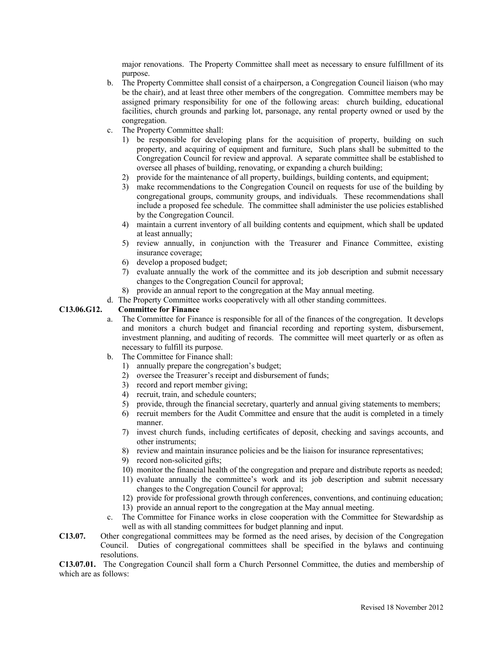major renovations. The Property Committee shall meet as necessary to ensure fulfillment of its purpose.

- b. The Property Committee shall consist of a chairperson, a Congregation Council liaison (who may be the chair), and at least three other members of the congregation. Committee members may be assigned primary responsibility for one of the following areas: church building, educational facilities, church grounds and parking lot, parsonage, any rental property owned or used by the congregation.
- c. The Property Committee shall:
	- 1) be responsible for developing plans for the acquisition of property, building on such property, and acquiring of equipment and furniture, Such plans shall be submitted to the Congregation Council for review and approval. A separate committee shall be established to oversee all phases of building, renovating, or expanding a church building;
	- 2) provide for the maintenance of all property, buildings, building contents, and equipment;
	- 3) make recommendations to the Congregation Council on requests for use of the building by congregational groups, community groups, and individuals. These recommendations shall include a proposed fee schedule. The committee shall administer the use policies established by the Congregation Council.
	- 4) maintain a current inventory of all building contents and equipment, which shall be updated at least annually;
	- 5) review annually, in conjunction with the Treasurer and Finance Committee, existing insurance coverage;
	- 6) develop a proposed budget;
	- 7) evaluate annually the work of the committee and its job description and submit necessary changes to the Congregation Council for approval;
	- 8) provide an annual report to the congregation at the May annual meeting.
- d. The Property Committee works cooperatively with all other standing committees.

#### **C13.06.G12. Committee for Finance**

- a. The Committee for Finance is responsible for all of the finances of the congregation. It develops and monitors a church budget and financial recording and reporting system, disbursement, investment planning, and auditing of records. The committee will meet quarterly or as often as necessary to fulfill its purpose.
- b. The Committee for Finance shall:
	- 1) annually prepare the congregation's budget;
	- 2) oversee the Treasurer's receipt and disbursement of funds;
	- 3) record and report member giving;
	- 4) recruit, train, and schedule counters;
	- 5) provide, through the financial secretary, quarterly and annual giving statements to members;
	- 6) recruit members for the Audit Committee and ensure that the audit is completed in a timely manner.
	- 7) invest church funds, including certificates of deposit, checking and savings accounts, and other instruments;
	- 8) review and maintain insurance policies and be the liaison for insurance representatives;
	- 9) record non-solicited gifts;
	- 10) monitor the financial health of the congregation and prepare and distribute reports as needed;
	- 11) evaluate annually the committee's work and its job description and submit necessary changes to the Congregation Council for approval;
	- 12) provide for professional growth through conferences, conventions, and continuing education;
	- 13) provide an annual report to the congregation at the May annual meeting.
- c. The Committee for Finance works in close cooperation with the Committee for Stewardship as well as with all standing committees for budget planning and input.
- **C13.07.** Other congregational committees may be formed as the need arises, by decision of the Congregation Council. Duties of congregational committees shall be specified in the bylaws and continuing resolutions.

**C13.07.01.** The Congregation Council shall form a Church Personnel Committee, the duties and membership of which are as follows: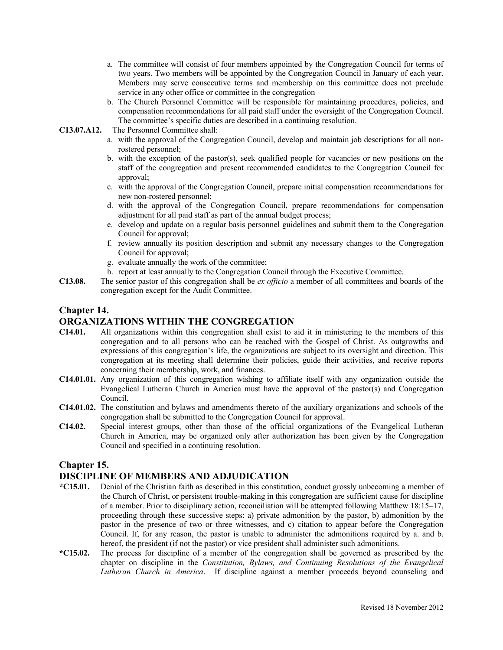- a. The committee will consist of four members appointed by the Congregation Council for terms of two years. Two members will be appointed by the Congregation Council in January of each year. Members may serve consecutive terms and membership on this committee does not preclude service in any other office or committee in the congregation
- b. The Church Personnel Committee will be responsible for maintaining procedures, policies, and compensation recommendations for all paid staff under the oversight of the Congregation Council. The committee's specific duties are described in a continuing resolution.
- **C13.07.A12.** The Personnel Committee shall:
	- a. with the approval of the Congregation Council, develop and maintain job descriptions for all nonrostered personnel;
	- b. with the exception of the pastor(s), seek qualified people for vacancies or new positions on the staff of the congregation and present recommended candidates to the Congregation Council for approval;
	- c. with the approval of the Congregation Council, prepare initial compensation recommendations for new non-rostered personnel;
	- d. with the approval of the Congregation Council, prepare recommendations for compensation adjustment for all paid staff as part of the annual budget process;
	- e. develop and update on a regular basis personnel guidelines and submit them to the Congregation Council for approval;
	- f. review annually its position description and submit any necessary changes to the Congregation Council for approval;
	- g. evaluate annually the work of the committee;
	- h. report at least annually to the Congregation Council through the Executive Committee.
- **C13.08.** The senior pastor of this congregation shall be *ex officio* a member of all committees and boards of the congregation except for the Audit Committee.

#### **Chapter 14.**

# **ORGANIZATIONS WITHIN THE CONGREGATION**

- **C14.01.** All organizations within this congregation shall exist to aid it in ministering to the members of this congregation and to all persons who can be reached with the Gospel of Christ. As outgrowths and expressions of this congregation's life, the organizations are subject to its oversight and direction. This congregation at its meeting shall determine their policies, guide their activities, and receive reports concerning their membership, work, and finances.
- **C14.01.01.** Any organization of this congregation wishing to affiliate itself with any organization outside the Evangelical Lutheran Church in America must have the approval of the pastor(s) and Congregation Council.
- **C14.01.02.** The constitution and bylaws and amendments thereto of the auxiliary organizations and schools of the congregation shall be submitted to the Congregation Council for approval.
- **C14.02.** Special interest groups, other than those of the official organizations of the Evangelical Lutheran Church in America, may be organized only after authorization has been given by the Congregation Council and specified in a continuing resolution.

#### **Chapter 15.**

#### **DISCIPLINE OF MEMBERS AND ADJUDICATION**

- **\*C15.01.** Denial of the Christian faith as described in this constitution, conduct grossly unbecoming a member of the Church of Christ, or persistent trouble-making in this congregation are sufficient cause for discipline of a member. Prior to disciplinary action, reconciliation will be attempted following Matthew 18:15–17, proceeding through these successive steps: a) private admonition by the pastor, b) admonition by the pastor in the presence of two or three witnesses, and c) citation to appear before the Congregation Council. If, for any reason, the pastor is unable to administer the admonitions required by a. and b. hereof, the president (if not the pastor) or vice president shall administer such admonitions.
- **\*C15.02.** The process for discipline of a member of the congregation shall be governed as prescribed by the chapter on discipline in the *Constitution, Bylaws, and Continuing Resolutions of the Evangelical Lutheran Church in America*. If discipline against a member proceeds beyond counseling and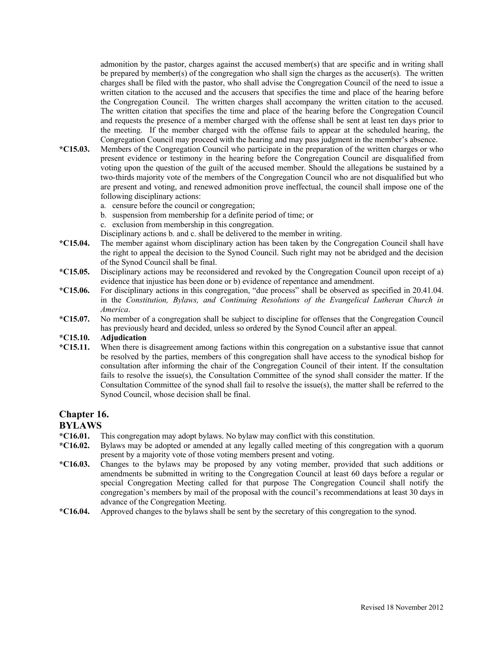admonition by the pastor, charges against the accused member(s) that are specific and in writing shall be prepared by member(s) of the congregation who shall sign the charges as the accuser(s). The written charges shall be filed with the pastor, who shall advise the Congregation Council of the need to issue a written citation to the accused and the accusers that specifies the time and place of the hearing before the Congregation Council. The written charges shall accompany the written citation to the accused. The written citation that specifies the time and place of the hearing before the Congregation Council and requests the presence of a member charged with the offense shall be sent at least ten days prior to the meeting. If the member charged with the offense fails to appear at the scheduled hearing, the Congregation Council may proceed with the hearing and may pass judgment in the member's absence.

- **\*C15.03.** Members of the Congregation Council who participate in the preparation of the written charges or who present evidence or testimony in the hearing before the Congregation Council are disqualified from voting upon the question of the guilt of the accused member. Should the allegations be sustained by a two-thirds majority vote of the members of the Congregation Council who are not disqualified but who are present and voting, and renewed admonition prove ineffectual, the council shall impose one of the following disciplinary actions:
	- a. censure before the council or congregation;
	- b. suspension from membership for a definite period of time; or
	- c. exclusion from membership in this congregation.
	- Disciplinary actions b. and c. shall be delivered to the member in writing.
- **\*C15.04.** The member against whom disciplinary action has been taken by the Congregation Council shall have the right to appeal the decision to the Synod Council. Such right may not be abridged and the decision of the Synod Council shall be final.
- **\*C15.05.** Disciplinary actions may be reconsidered and revoked by the Congregation Council upon receipt of a) evidence that injustice has been done or b) evidence of repentance and amendment.
- **\*C15.06.** For disciplinary actions in this congregation, "due process" shall be observed as specified in 20.41.04. in the *Constitution, Bylaws, and Continuing Resolutions of the Evangelical Lutheran Church in America*.
- **\*C15.07.** No member of a congregation shall be subject to discipline for offenses that the Congregation Council has previously heard and decided, unless so ordered by the Synod Council after an appeal.

**\*C15.10. Adjudication**

**\*C15.11.** When there is disagreement among factions within this congregation on a substantive issue that cannot be resolved by the parties, members of this congregation shall have access to the synodical bishop for consultation after informing the chair of the Congregation Council of their intent. If the consultation fails to resolve the issue(s), the Consultation Committee of the synod shall consider the matter. If the Consultation Committee of the synod shall fail to resolve the issue(s), the matter shall be referred to the Synod Council, whose decision shall be final.

# **Chapter 16.**

#### **BYLAWS**

- **\*C16.01.** This congregation may adopt bylaws. No bylaw may conflict with this constitution.
- **\*C16.02.** Bylaws may be adopted or amended at any legally called meeting of this congregation with a quorum present by a majority vote of those voting members present and voting.
- **\*C16.03.** Changes to the bylaws may be proposed by any voting member, provided that such additions or amendments be submitted in writing to the Congregation Council at least 60 days before a regular or special Congregation Meeting called for that purpose The Congregation Council shall notify the congregation's members by mail of the proposal with the council's recommendations at least 30 days in advance of the Congregation Meeting.
- **\*C16.04.** Approved changes to the bylaws shall be sent by the secretary of this congregation to the synod.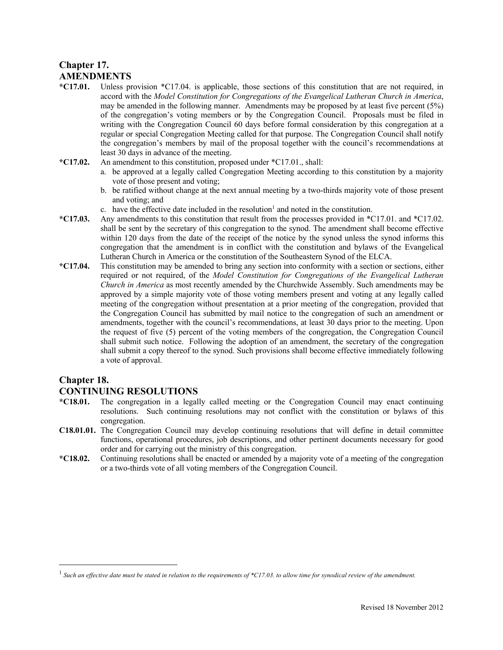# **Chapter 17. AMENDMENTS**

- **\*C17.01.** Unless provision \*C17.04. is applicable, those sections of this constitution that are not required, in accord with the *Model Constitution for Congregations of the Evangelical Lutheran Church in America*, may be amended in the following manner. Amendments may be proposed by at least five percent (5%) of the congregation's voting members or by the Congregation Council. Proposals must be filed in writing with the Congregation Council 60 days before formal consideration by this congregation at a regular or special Congregation Meeting called for that purpose. The Congregation Council shall notify the congregation's members by mail of the proposal together with the council's recommendations at least 30 days in advance of the meeting.
- **\*C17.02.** An amendment to this constitution, proposed under \*C17.01., shall:
	- a. be approved at a legally called Congregation Meeting according to this constitution by a majority vote of those present and voting;
	- b. be ratified without change at the next annual meeting by a two-thirds majority vote of those present and voting; and
	- c. have the effective date included in the resolution<sup>1</sup> and noted in the constitution.
- **\*C17.03.** Any amendments to this constitution that result from the processes provided in \*C17.01. and \*C17.02. shall be sent by the secretary of this congregation to the synod. The amendment shall become effective within 120 days from the date of the receipt of the notice by the synod unless the synod informs this congregation that the amendment is in conflict with the constitution and bylaws of the Evangelical Lutheran Church in America or the constitution of the Southeastern Synod of the ELCA.
- **\*C17.04.** This constitution may be amended to bring any section into conformity with a section or sections, either required or not required, of the *Model Constitution for Congregations of the Evangelical Lutheran Church in America* as most recently amended by the Churchwide Assembly. Such amendments may be approved by a simple majority vote of those voting members present and voting at any legally called meeting of the congregation without presentation at a prior meeting of the congregation, provided that the Congregation Council has submitted by mail notice to the congregation of such an amendment or amendments, together with the council's recommendations, at least 30 days prior to the meeting. Upon the request of five (5) percent of the voting members of the congregation, the Congregation Council shall submit such notice. Following the adoption of an amendment, the secretary of the congregation shall submit a copy thereof to the synod. Such provisions shall become effective immediately following a vote of approval.

# **Chapter 18.**

# **CONTINUING RESOLUTIONS**

- **\*C18.01.** The congregation in a legally called meeting or the Congregation Council may enact continuing resolutions. Such continuing resolutions may not conflict with the constitution or bylaws of this congregation.
- **C18.01.01.** The Congregation Council may develop continuing resolutions that will define in detail committee functions, operational procedures, job descriptions, and other pertinent documents necessary for good order and for carrying out the ministry of this congregation.
- **\*C18.02.** Continuing resolutions shall be enacted or amended by a majority vote of a meeting of the congregation or a two-thirds vote of all voting members of the Congregation Council.

<sup>1</sup> *Such an effective date must be stated in relation to the requirements of \*C17.03. to allow time for synodical review of the amendment.*